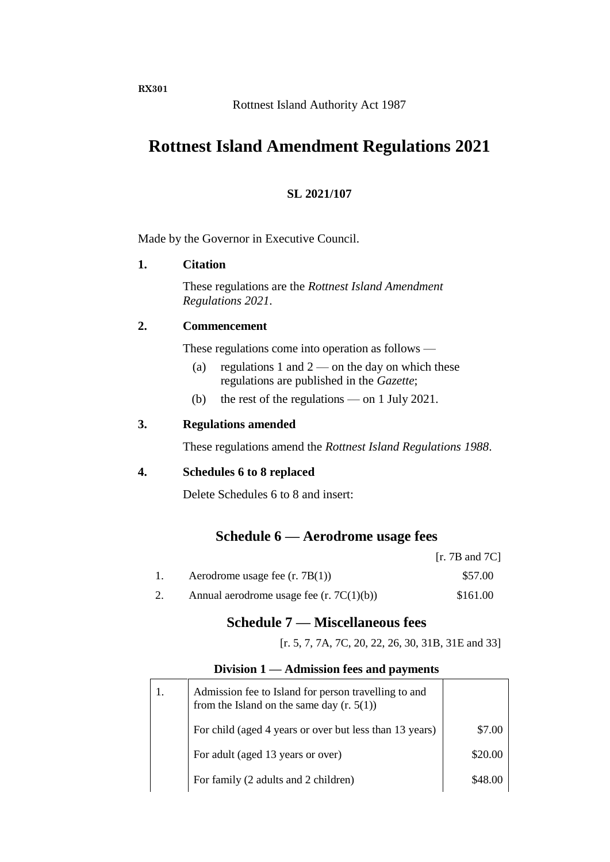**RX301**

## **Rottnest Island Amendment Regulations 2021**

## **SL 2021/107**

Made by the Governor in Executive Council.

### **1. Citation**

These regulations are the *Rottnest Island Amendment Regulations 2021*.

### **2. Commencement**

These regulations come into operation as follows —

- (a) regulations 1 and  $2$  on the day on which these regulations are published in the *Gazette*;
- (b) the rest of the regulations on 1 July 2021.

### **3. Regulations amended**

These regulations amend the *Rottnest Island Regulations 1988*.

### **4. Schedules 6 to 8 replaced**

Delete Schedules 6 to 8 and insert:

## **Schedule 6 — Aerodrome usage fees**

|                                            | [r. 7B and 7C] |
|--------------------------------------------|----------------|
| Aerodrome usage fee $(r. 7B(1))$           | \$57.00        |
| Annual aerodrome usage fee $(r. 7C(1)(b))$ | \$161.00       |

## **Schedule 7 — Miscellaneous fees**

[r. 5, 7, 7A, 7C, 20, 22, 26, 30, 31B, 31E and 33]

### **Division 1 — Admission fees and payments**

| 1. | Admission fee to Island for person travelling to and<br>from the Island on the same day $(r. 5(1))$ |         |
|----|-----------------------------------------------------------------------------------------------------|---------|
|    | For child (aged 4 years or over but less than 13 years)                                             | \$7.00  |
|    | For adult (aged 13 years or over)                                                                   | \$20.00 |
|    | For family (2 adults and 2 children)                                                                | \$48.00 |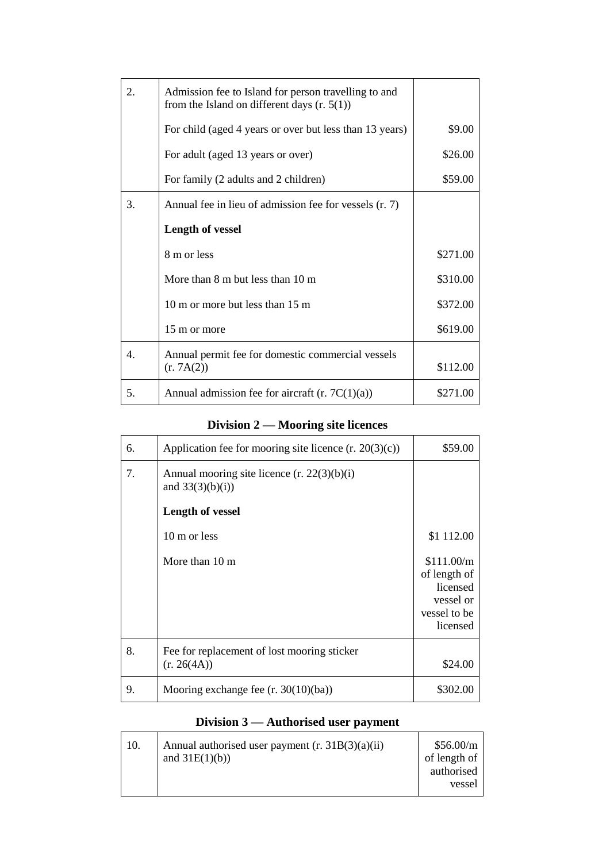| 2.               | Admission fee to Island for person travelling to and<br>from the Island on different days $(r. 5(1))$ |          |
|------------------|-------------------------------------------------------------------------------------------------------|----------|
|                  | For child (aged 4 years or over but less than 13 years)                                               | \$9.00   |
|                  | For adult (aged 13 years or over)                                                                     | \$26.00  |
|                  | For family (2 adults and 2 children)                                                                  | \$59.00  |
| 3.               | Annual fee in lieu of admission fee for vessels (r. 7)                                                |          |
|                  | <b>Length of vessel</b>                                                                               |          |
|                  | 8 m or less                                                                                           | \$271.00 |
|                  | More than $8 \text{ m}$ but less than $10 \text{ m}$                                                  | \$310.00 |
|                  | 10 m or more but less than 15 m                                                                       | \$372.00 |
|                  | 15 m or more                                                                                          | \$619.00 |
| $\overline{4}$ . | Annual permit fee for domestic commercial vessels<br>(r. 7A(2))                                       | \$112.00 |
| 5.               | Annual admission fee for aircraft $(r. 7C(1)(a))$                                                     | \$271.00 |

## **Division 2 — Mooring site licences**

| 6. | Application fee for mooring site licence $(r. 20(3)(c))$            | \$59.00                                                                         |
|----|---------------------------------------------------------------------|---------------------------------------------------------------------------------|
| 7. | Annual mooring site licence $(r. 22(3)(b)(i))$<br>and $33(3)(b)(i)$ |                                                                                 |
|    | <b>Length of vessel</b>                                             |                                                                                 |
|    | 10 m or less                                                        | \$1 112.00                                                                      |
|    | More than 10 m                                                      | \$111.00/m<br>of length of<br>licensed<br>vessel or<br>vessel to be<br>licensed |
| 8. | Fee for replacement of lost mooring sticker<br>(r. 26(4A))          | \$24.00                                                                         |
| 9. | Mooring exchange fee $(r. 30(10)(ba))$                              | \$302.00                                                                        |

## **Division 3 — Authorised user payment**

| 10. | Annual authorised user payment $(r. 31B(3)(a)(ii))$ | \$56.00/m    |
|-----|-----------------------------------------------------|--------------|
|     | and $31E(1)(b)$                                     | of length of |
|     |                                                     | authorised   |
|     |                                                     | vessel       |
|     |                                                     |              |